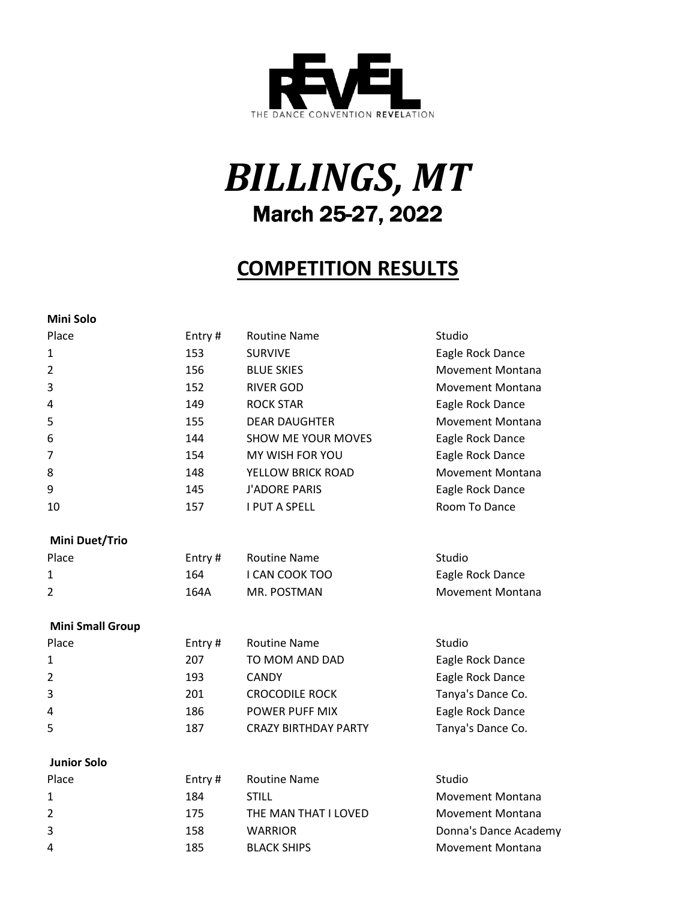

# *BILLINGS, MT* March 25-27, 2022

## **COMPETITION RESULTS**

| <b>Mini Solo</b>        |        |                             |                         |
|-------------------------|--------|-----------------------------|-------------------------|
| Place                   | Entry# | <b>Routine Name</b>         | Studio                  |
| $\mathbf 1$             | 153    | <b>SURVIVE</b>              | Eagle Rock Dance        |
| $\overline{2}$          | 156    | <b>BLUE SKIES</b>           | Movement Montana        |
| 3                       | 152    | <b>RIVER GOD</b>            | Movement Montana        |
| 4                       | 149    | <b>ROCK STAR</b>            | Eagle Rock Dance        |
| 5                       | 155    | <b>DEAR DAUGHTER</b>        | <b>Movement Montana</b> |
| 6                       | 144    | <b>SHOW ME YOUR MOVES</b>   | Eagle Rock Dance        |
| 7                       | 154    | MY WISH FOR YOU             | Eagle Rock Dance        |
| 8                       | 148    | YELLOW BRICK ROAD           | <b>Movement Montana</b> |
| 9                       | 145    | <b>J'ADORE PARIS</b>        | Eagle Rock Dance        |
| 10                      | 157    | <b>I PUT A SPELL</b>        | Room To Dance           |
| <b>Mini Duet/Trio</b>   |        |                             |                         |
| Place                   | Entry# | <b>Routine Name</b>         | Studio                  |
| 1                       | 164    | I CAN COOK TOO              | Eagle Rock Dance        |
| 2                       | 164A   | MR. POSTMAN                 | <b>Movement Montana</b> |
| <b>Mini Small Group</b> |        |                             |                         |
| Place                   | Entry# | <b>Routine Name</b>         | Studio                  |
| 1                       | 207    | TO MOM AND DAD              | Eagle Rock Dance        |
| 2                       | 193    | <b>CANDY</b>                | Eagle Rock Dance        |
| 3                       | 201    | <b>CROCODILE ROCK</b>       | Tanya's Dance Co.       |
| 4                       | 186    | POWER PUFF MIX              | Eagle Rock Dance        |
| 5                       | 187    | <b>CRAZY BIRTHDAY PARTY</b> | Tanya's Dance Co.       |
| <b>Junior Solo</b>      |        |                             |                         |
| Place                   | Entry# | <b>Routine Name</b>         | Studio                  |
| $\mathbf{1}$            | 184    | <b>STILL</b>                | Movement Montana        |
| $\overline{2}$          | 175    | THE MAN THAT I LOVED        | Movement Montana        |
| 3                       | 158    | <b>WARRIOR</b>              | Donna's Dance Academy   |
| 4                       | 185    | <b>BLACK SHIPS</b>          | Movement Montana        |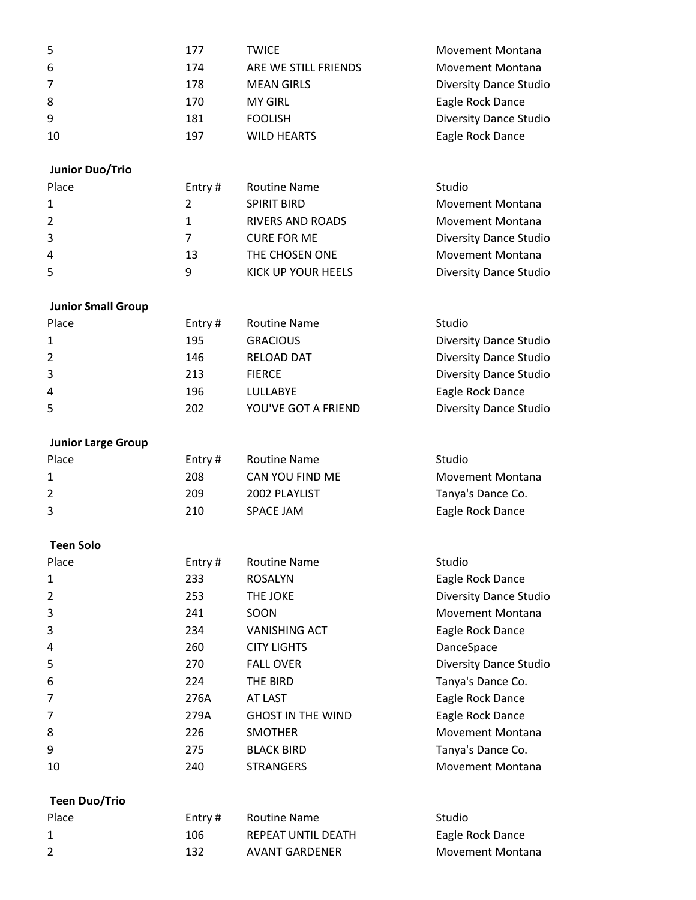| 5                         | 177            | <b>TWICE</b>             | Movement Montana              |
|---------------------------|----------------|--------------------------|-------------------------------|
| 6                         | 174            | ARE WE STILL FRIENDS     | Movement Montana              |
| 7                         | 178            | <b>MEAN GIRLS</b>        | <b>Diversity Dance Studio</b> |
| 8                         | 170            | <b>MY GIRL</b>           | Eagle Rock Dance              |
| 9                         | 181            | <b>FOOLISH</b>           | <b>Diversity Dance Studio</b> |
| 10                        | 197            | <b>WILD HEARTS</b>       | Eagle Rock Dance              |
|                           |                |                          |                               |
| <b>Junior Duo/Trio</b>    |                |                          |                               |
| Place                     | Entry#         | <b>Routine Name</b>      | Studio                        |
| 1                         | $\overline{2}$ | <b>SPIRIT BIRD</b>       | Movement Montana              |
| $\overline{2}$            | $\mathbf{1}$   | <b>RIVERS AND ROADS</b>  | Movement Montana              |
| 3                         | $\overline{7}$ | <b>CURE FOR ME</b>       | <b>Diversity Dance Studio</b> |
| 4                         | 13             | THE CHOSEN ONE           | Movement Montana              |
| 5                         | 9              | KICK UP YOUR HEELS       | <b>Diversity Dance Studio</b> |
|                           |                |                          |                               |
| <b>Junior Small Group</b> |                |                          |                               |
| Place                     | Entry#         | <b>Routine Name</b>      | Studio                        |
| 1                         | 195            | <b>GRACIOUS</b>          | <b>Diversity Dance Studio</b> |
| $\overline{2}$            | 146            | <b>RELOAD DAT</b>        | <b>Diversity Dance Studio</b> |
| 3                         | 213            | <b>FIERCE</b>            | <b>Diversity Dance Studio</b> |
| 4                         | 196            | LULLABYE                 | Eagle Rock Dance              |
| 5                         | 202            | YOU'VE GOT A FRIEND      | <b>Diversity Dance Studio</b> |
|                           |                |                          |                               |
| <b>Junior Large Group</b> |                |                          |                               |
| Place                     | Entry#         | <b>Routine Name</b>      | Studio                        |
| 1                         | 208            | CAN YOU FIND ME          | Movement Montana              |
| $\overline{2}$            | 209            | 2002 PLAYLIST            | Tanya's Dance Co.             |
| 3                         | 210            | SPACE JAM                |                               |
|                           |                |                          | Eagle Rock Dance              |
| <b>Teen Solo</b>          |                |                          |                               |
| Place                     | Entry#         | <b>Routine Name</b>      | Studio                        |
| 1                         | 233            | <b>ROSALYN</b>           | Eagle Rock Dance              |
| $\overline{2}$            | 253            | THE JOKE                 | <b>Diversity Dance Studio</b> |
| 3                         | 241            | SOON                     | Movement Montana              |
| 3                         | 234            | <b>VANISHING ACT</b>     | Eagle Rock Dance              |
| 4                         | 260            | <b>CITY LIGHTS</b>       | DanceSpace                    |
| 5                         | 270            | <b>FALL OVER</b>         | <b>Diversity Dance Studio</b> |
|                           | 224            | THE BIRD                 |                               |
| 6                         |                | AT LAST                  | Tanya's Dance Co.             |
| 7                         | 276A           |                          | Eagle Rock Dance              |
| 7                         | 279A           | <b>GHOST IN THE WIND</b> | Eagle Rock Dance              |
| 8                         | 226            | <b>SMOTHER</b>           | <b>Movement Montana</b>       |
| 9                         | 275            | <b>BLACK BIRD</b>        | Tanya's Dance Co.             |
| 10                        | 240            | <b>STRANGERS</b>         | Movement Montana              |
| <b>Teen Duo/Trio</b>      |                |                          |                               |
| Place                     | Entry#         | <b>Routine Name</b>      | Studio                        |
| 1                         | 106            | REPEAT UNTIL DEATH       | Eagle Rock Dance              |
| 2                         | 132            | <b>AVANT GARDENER</b>    | Movement Montana              |
|                           |                |                          |                               |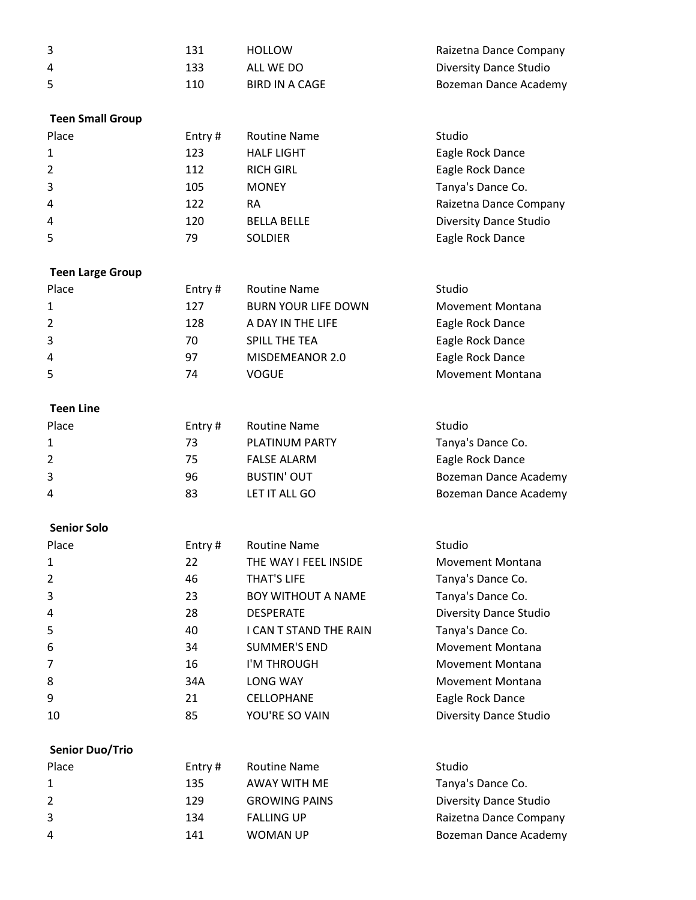| 3                       | 131    | <b>HOLLOW</b>              | Raizetna Dance Company        |
|-------------------------|--------|----------------------------|-------------------------------|
| 4                       | 133    | ALL WE DO                  | <b>Diversity Dance Studio</b> |
| 5                       | 110    | <b>BIRD IN A CAGE</b>      | Bozeman Dance Academy         |
|                         |        |                            |                               |
| <b>Teen Small Group</b> |        |                            |                               |
| Place                   | Entry# | <b>Routine Name</b>        | Studio                        |
| 1                       | 123    | <b>HALF LIGHT</b>          | Eagle Rock Dance              |
| 2                       | 112    | <b>RICH GIRL</b>           | Eagle Rock Dance              |
| 3                       | 105    | <b>MONEY</b>               | Tanya's Dance Co.             |
| 4                       | 122    | <b>RA</b>                  | Raizetna Dance Company        |
| 4                       | 120    | <b>BELLA BELLE</b>         | <b>Diversity Dance Studio</b> |
| 5                       | 79     | <b>SOLDIER</b>             | Eagle Rock Dance              |
| <b>Teen Large Group</b> |        |                            |                               |
| Place                   | Entry# | <b>Routine Name</b>        | Studio                        |
| 1                       | 127    | <b>BURN YOUR LIFE DOWN</b> | Movement Montana              |
| 2                       | 128    | A DAY IN THE LIFE          | Eagle Rock Dance              |
| 3                       | 70     | SPILL THE TEA              | Eagle Rock Dance              |
| 4                       | 97     | MISDEMEANOR 2.0            | Eagle Rock Dance              |
| 5                       | 74     | <b>VOGUE</b>               | <b>Movement Montana</b>       |
| <b>Teen Line</b>        |        |                            |                               |
| Place                   | Entry# | <b>Routine Name</b>        | Studio                        |
| 1                       | 73     | PLATINUM PARTY             | Tanya's Dance Co.             |
| 2                       | 75     | <b>FALSE ALARM</b>         | Eagle Rock Dance              |
| 3                       | 96     | <b>BUSTIN' OUT</b>         | Bozeman Dance Academy         |
| 4                       | 83     | LET IT ALL GO              | Bozeman Dance Academy         |
| <b>Senior Solo</b>      |        |                            |                               |
| Place                   | Entry# | <b>Routine Name</b>        | Studio                        |
| 1                       | 22     | THE WAY I FEEL INSIDE      | <b>Movement Montana</b>       |
| 2                       | 46     | THAT'S LIFE                | Tanya's Dance Co.             |
| 3                       | 23     | <b>BOY WITHOUT A NAME</b>  | Tanya's Dance Co.             |
| 4                       | 28     | DESPERATE                  | <b>Diversity Dance Studio</b> |
| 5                       | 40     | I CAN T STAND THE RAIN     | Tanya's Dance Co.             |
| 6                       | 34     | <b>SUMMER'S END</b>        | <b>Movement Montana</b>       |
| 7                       | 16     | I'M THROUGH                | <b>Movement Montana</b>       |
|                         |        | <b>LONG WAY</b>            | <b>Movement Montana</b>       |
| 8<br>9                  | 34A    |                            |                               |
|                         | 21     | CELLOPHANE                 | Eagle Rock Dance              |
| 10                      | 85     | YOU'RE SO VAIN             | <b>Diversity Dance Studio</b> |
| <b>Senior Duo/Trio</b>  |        |                            |                               |
| Place                   | Entry# | <b>Routine Name</b>        | Studio                        |
| 1                       | 135    | AWAY WITH ME               | Tanya's Dance Co.             |

|   | 135 | AWAY WITH ME         | Tanya's Dance Co.      |
|---|-----|----------------------|------------------------|
|   | 129 | <b>GROWING PAINS</b> | Diversity Dance Studio |
|   | 134 | <b>FALLING UP</b>    | Raizetna Dance Company |
| 4 | 141 | WOMAN UP             | Bozeman Dance Academy  |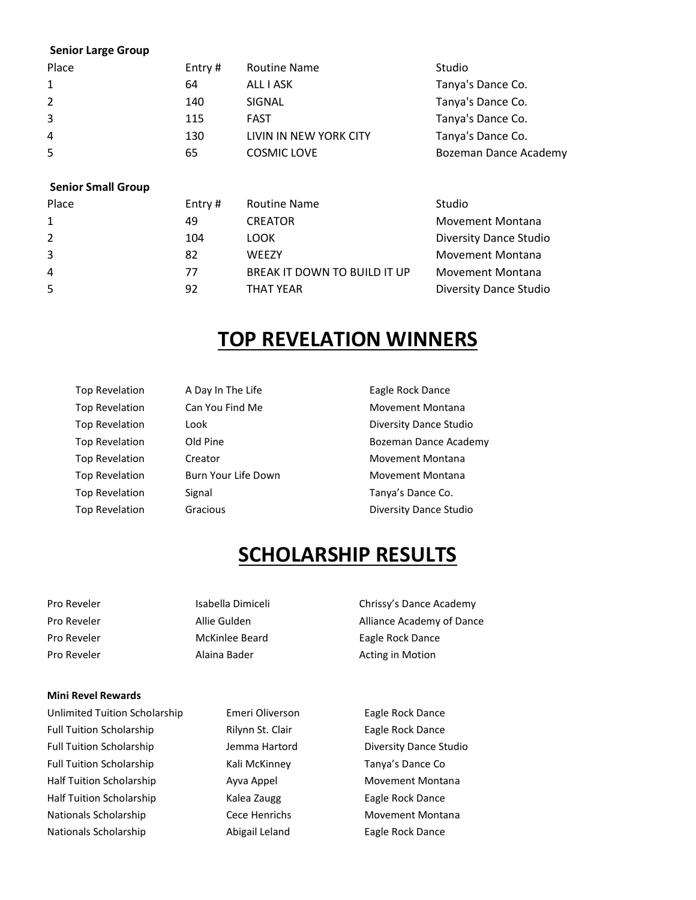### **Senior Large Group**

| Place                     | Entry# | <b>Routine Name</b>          | Studio                 |
|---------------------------|--------|------------------------------|------------------------|
| 1                         | 64     | ALL I ASK                    | Tanya's Dance Co.      |
| $\overline{2}$            | 140    | SIGNAL                       | Tanya's Dance Co.      |
| 3                         | 115    | <b>FAST</b>                  | Tanya's Dance Co.      |
| 4                         | 130    | LIVIN IN NEW YORK CITY       | Tanya's Dance Co.      |
| 5                         | 65     | <b>COSMIC LOVE</b>           | Bozeman Dance Academy  |
| <b>Senior Small Group</b> |        |                              |                        |
| Place                     | Entry# | <b>Routine Name</b>          | Studio                 |
| 1                         | 49     | <b>CREATOR</b>               | Movement Montana       |
| $\overline{2}$            | 104    | <b>LOOK</b>                  | Diversity Dance Studio |
| 3                         | 82     | <b>WEEZY</b>                 | Movement Montana       |
| 4                         | 77     | BREAK IT DOWN TO BUILD IT UP | Movement Montana       |

5 92 THAT YEAR Diversity Dance Studio

### **TOP REVELATION WINNERS**

| <b>Top Revelation</b> | A Day In The Life   | Eagle Rock Dance              |
|-----------------------|---------------------|-------------------------------|
| <b>Top Revelation</b> | Can You Find Me     | Movement Montana              |
| <b>Top Revelation</b> | Look                | Diversity Dance Studio        |
| <b>Top Revelation</b> | Old Pine            | Bozeman Dance Academy         |
| <b>Top Revelation</b> | Creator             | Movement Montana              |
| Top Revelation        | Burn Your Life Down | Movement Montana              |
| Top Revelation        | Signal              | Tanya's Dance Co.             |
| <b>Top Revelation</b> | Gracious            | <b>Diversity Dance Studio</b> |
|                       |                     |                               |

### **SCHOLARSHIP RESULTS**

| Pro Reveler | Isabella Dimiceli |
|-------------|-------------------|
| Pro Reveler | Allie Gulden      |
| Pro Reveler | McKinlee Beard    |
| Pro Reveler | Alaina Bader      |
|             |                   |

#### **Mini Revel Rewards**

Unlimited Tuition Scholarship Emeri Oliverson Eagle Rock Dance Full Tuition Scholarship **Rilynn St. Clair** Eagle Rock Dance Full Tuition Scholarship Jemma Hartord Diversity Dance Studio Full Tuition Scholarship **Kali McKinney** Tanya's Dance Co Half Tuition Scholarship **Ayva Appel** Movement Montana Half Tuition Scholarship **Kalea Zaugg** Eagle Rock Dance Nationals Scholarship Cece Henrichs Movement Montana Nationals Scholarship **Abigail Leland** Eagle Rock Dance

Chrissy's Dance Academy Alliance Academy of Dance Eagle Rock Dance Acting in Motion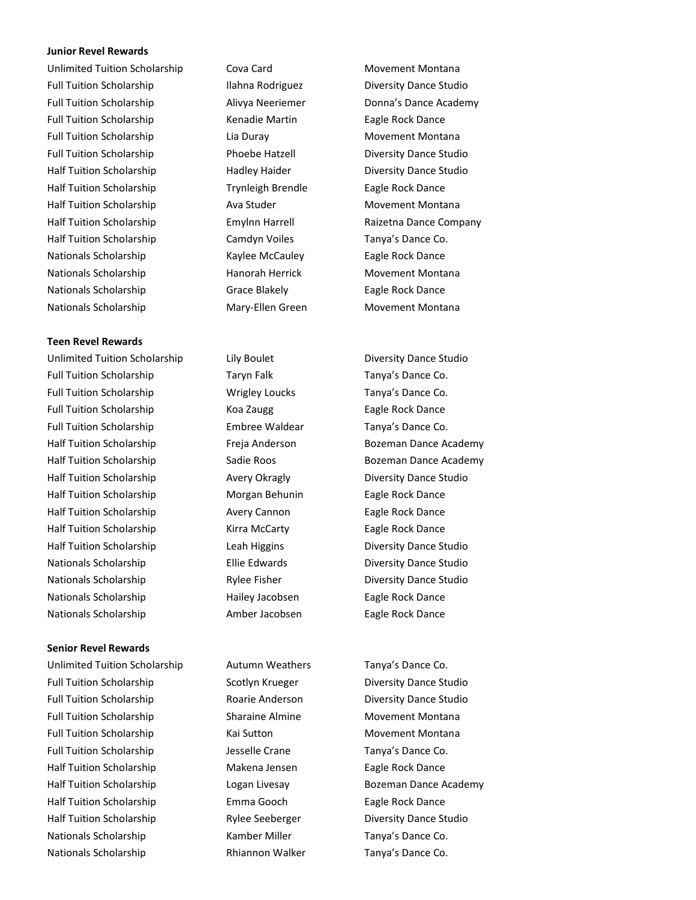### **Junior Revel Rewards**

Unlimited Tuition Scholarship Cova Card Movement Montana Full Tuition Scholarship Ilahna Rodriguez Diversity Dance Studio Full Tuition Scholarship **Kenadie Martin** Eagle Rock Dance Full Tuition Scholarship Lia Duray Movement Montana Full Tuition Scholarship Phoebe Hatzell Diversity Dance Studio Half Tuition Scholarship Hadley Haider Diversity Dance Studio Half Tuition Scholarship Trynleigh Brendle Eagle Rock Dance Half Tuition Scholarship **Ava Studer** Ava Studer Movement Montana Half Tuition Scholarship Camdyn Voiles Tanya's Dance Co. Nationals Scholarship Kaylee McCauley Eagle Rock Dance Nationals Scholarship **Hanorah Herrick** Movement Montana Nationals Scholarship **Grace Blakely** Eagle Rock Dance Nationals Scholarship Mary-Ellen Green Movement Montana

#### **Teen Revel Rewards**

Full Tuition Scholarship Taryn Falk Tanya's Dance Co. Full Tuition Scholarship Wrigley Loucks Tanya's Dance Co. Full Tuition Scholarship **Koa Zaugg Eagle Rock Dance** Full Tuition Scholarship Embree Waldear Tanya's Dance Co. Half Tuition Scholarship Freja Anderson Bozeman Dance Academy Half Tuition Scholarship Sadie Roos Bozeman Dance Academy Half Tuition Scholarship **Avery Okragly Diversity Dance Studio** Half Tuition Scholarship Morgan Behunin Eagle Rock Dance Half Tuition Scholarship **Avery Cannon** Eagle Rock Dance Half Tuition Scholarship **Kirra McCarty** Eagle Rock Dance Half Tuition Scholarship Leah Higgins Diversity Dance Studio Nationals Scholarship Ellie Edwards Diversity Dance Studio Nationals Scholarship **Rylee Fisher** Diversity Dance Studio Nationals Scholarship Hailey Jacobsen Eagle Rock Dance Nationals Scholarship Amber Jacobsen Eagle Rock Dance

### **Senior Revel Rewards**

Unlimited Tuition Scholarship Autumn Weathers Tanya's Dance Co. Full Tuition Scholarship Scotlyn Krueger Biversity Dance Studio Full Tuition Scholarship Roarie Anderson Diversity Dance Studio Full Tuition Scholarship **Sharaine Almine** Movement Montana Full Tuition Scholarship **Kai Sutton** Kai Sutton Movement Montana Full Tuition Scholarship Jesselle Crane Tanya's Dance Co. Half Tuition Scholarship Makena Jensen Eagle Rock Dance Half Tuition Scholarship Logan Livesay Bozeman Dance Academy Half Tuition Scholarship Emma Gooch Eagle Rock Dance Half Tuition Scholarship **Rylee Seeberger** Diversity Dance Studio Nationals Scholarship Kamber Miller Tanya's Dance Co. Nationals Scholarship **Rhiannon Walker** Tanya's Dance Co.

Full Tuition Scholarship **Alivya Neeriemer** Donna's Dance Academy Half Tuition Scholarship **Emylnn Harrell** Raizetna Dance Company

Unlimited Tuition Scholarship Lily Boulet **Diversity Dance Studio**